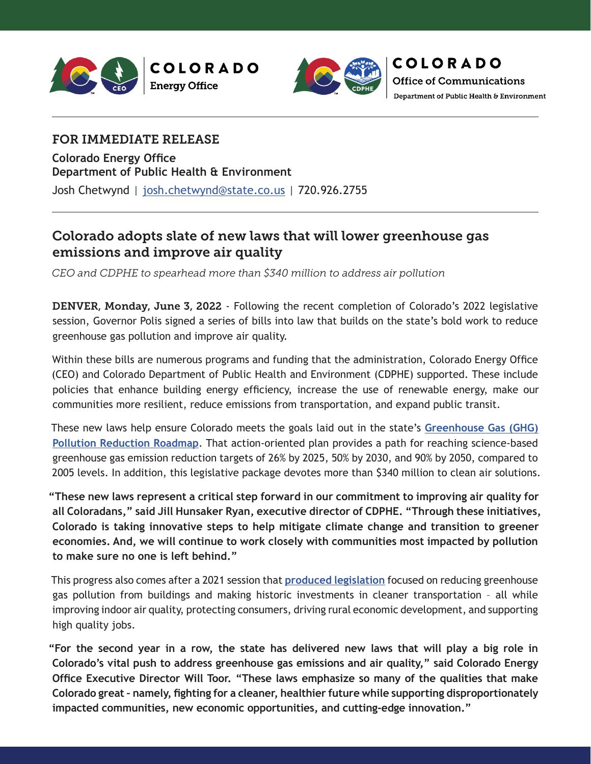



# FOR IMMEDIATE RELEASE

**Colorado Energy Office Department of Public Health & Environment** Josh Chetwynd | [josh.chetwynd@state.co.us](mailto:josh.chetwynd%40state.co.us?subject=) | 720.926.2755

# Colorado adopts slate of new laws that will lower greenhouse gas emissions and improve air quality

*CEO and CDPHE to spearhead more than \$340 million to address air pollution*

DENVER, Monday, June 3, 2022 - Following the recent completion of Colorado's 2022 legislative session, Governor Polis signed a series of bills into law that builds on the state's bold work to reduce greenhouse gas pollution and improve air quality.

Within these bills are numerous programs and funding that the administration, Colorado Energy Office (CEO) and Colorado Department of Public Health and Environment (CDPHE) supported. These include policies that enhance building energy efficiency, increase the use of renewable energy, make our communities more resilient, reduce emissions from transportation, and expand public transit.

These new laws help ensure Colorado meets the goals laid out in the state's **[Greenhouse Gas \(GHG\)](https://energyoffice.colorado.gov/climate-energy/ghg-pollution-reduction-roadmap)  [Pollution Reduction Roadmap](https://energyoffice.colorado.gov/climate-energy/ghg-pollution-reduction-roadmap)**. That action-oriented plan provides a path for reaching science-based greenhouse gas emission reduction targets of 26% by 2025, 50% by 2030, and 90% by 2050, compared to 2005 levels. In addition, this legislative package devotes more than \$340 million to clean air solutions.

**"These new laws represent a critical step forward in our commitment to improving air quality for all Coloradans," said Jill Hunsaker Ryan, executive director of CDPHE. "Through these initiatives, Colorado is taking innovative steps to help mitigate climate change and transition to greener economies. And, we will continue to work closely with communities most impacted by pollution to make sure no one is left behind."**

This progress also comes after a 2021 session that **[produced legislation](https://energyoffice.colorado.gov/press-releases/colorado-adopts-nation-leading-policies-to-reduce-ghg-pollution-from-buildings#:~:text=DENVER%20%2D%20Tues.%2C%20June%208,driving%20rural%20economic%20development%20and)** focused on reducing greenhouse gas pollution from buildings and making historic investments in cleaner transportation – all while improving indoor air quality, protecting consumers, driving rural economic development, and supporting high quality jobs.

**"For the second year in a row, the state has delivered new laws that will play a big role in Colorado's vital push to address greenhouse gas emissions and air quality," said Colorado Energy Office Executive Director Will Toor. "These laws emphasize so many of the qualities that make Colorado great – namely, fighting for a cleaner, healthier future while supporting disproportionately impacted communities, new economic opportunities, and cutting-edge innovation."**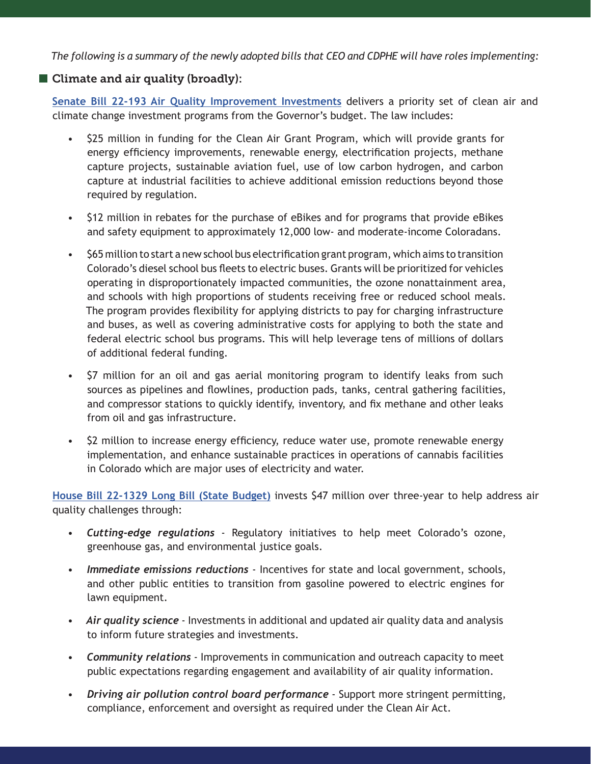*The following is a summary of the newly adopted bills that CEO and CDPHE will have roles implementing:* 

# ■ Climate and air quality (broadly):

**[Senate Bill 22-193 Air Quality Improvement Investments](https://leg.colorado.gov/bills/sb22-193)** delivers a priority set of clean air and climate change investment programs from the Governor's budget. The law includes:

- \$25 million in funding for the Clean Air Grant Program, which will provide grants for energy efficiency improvements, renewable energy, electrification projects, methane capture projects, sustainable aviation fuel, use of low carbon hydrogen, and carbon capture at industrial facilities to achieve additional emission reductions beyond those required by regulation.
- \$12 million in rebates for the purchase of eBikes and for programs that provide eBikes and safety equipment to approximately 12,000 low- and moderate-income Coloradans.
- \$65 million to start a new school bus electrification grant program, which aims to transition Colorado's diesel school bus fleets to electric buses. Grants will be prioritized for vehicles operating in disproportionately impacted communities, the ozone nonattainment area, and schools with high proportions of students receiving free or reduced school meals. The program provides flexibility for applying districts to pay for charging infrastructure and buses, as well as covering administrative costs for applying to both the state and federal electric school bus programs. This will help leverage tens of millions of dollars of additional federal funding.
- \$7 million for an oil and gas aerial monitoring program to identify leaks from such sources as pipelines and flowlines, production pads, tanks, central gathering facilities, and compressor stations to quickly identify, inventory, and fix methane and other leaks from oil and gas infrastructure.
- \$2 million to increase energy efficiency, reduce water use, promote renewable energy implementation, and enhance sustainable practices in operations of cannabis facilities in Colorado which are major uses of electricity and water.

**[House Bill 22-1329 Long Bill \(State Budget\)](https://leg.colorado.gov/bills/hb22-1329)** invests \$47 million over three-year to help address air quality challenges through:

- *• Cutting-edge regulations* Regulatory initiatives to help meet Colorado's ozone, greenhouse gas, and environmental justice goals.
- *• Immediate emissions reductions* Incentives for state and local government, schools, and other public entities to transition from gasoline powered to electric engines for lawn equipment.
- *• Air quality science* Investments in additional and updated air quality data and analysis to inform future strategies and investments.
- *• Community relations* Improvements in communication and outreach capacity to meet public expectations regarding engagement and availability of air quality information.
- *• Driving air pollution control board performance* Support more stringent permitting, compliance, enforcement and oversight as required under the Clean Air Act.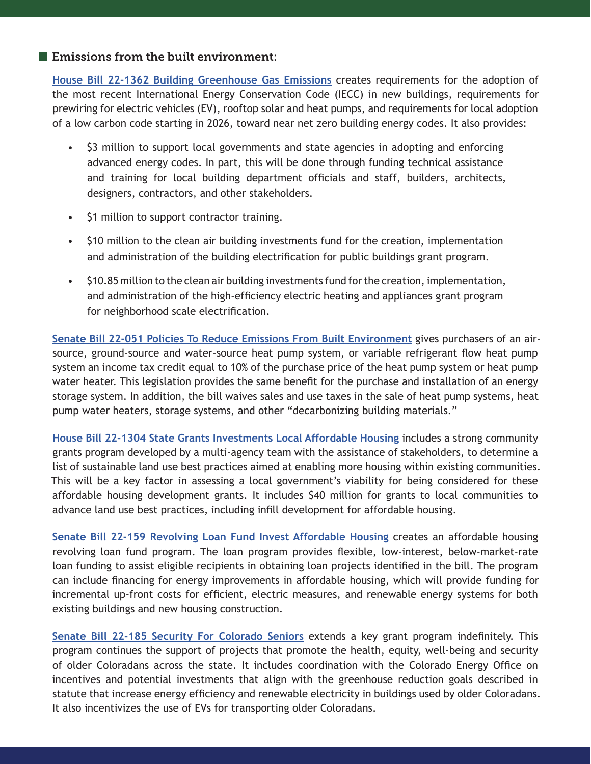#### **E** Emissions from the built environment:

**[House Bill 22-1362 Building Greenhouse Gas Emissions](https://leg.colorado.gov/bills/hb22-1362)** creates requirements for the adoption of the most recent International Energy Conservation Code (IECC) in new buildings, requirements for prewiring for electric vehicles (EV), rooftop solar and heat pumps, and requirements for local adoption of a low carbon code starting in 2026, toward near net zero building energy codes. It also provides:

- \$3 million to support local governments and state agencies in adopting and enforcing advanced energy codes. In part, this will be done through funding technical assistance and training for local building department officials and staff, builders, architects, designers, contractors, and other stakeholders.
- \$1 million to support contractor training.
- \$10 million to the clean air building investments fund for the creation, implementation and administration of the building electrification for public buildings grant program.
- \$10.85 million to the clean air building investments fund for the creation, implementation, and administration of the high-efficiency electric heating and appliances grant program for neighborhood scale electrification.

**[Senate Bill 22-051 Policies To Reduce Emissions From Built Environment](https://leg.colorado.gov/bills/sb22-051)** gives purchasers of an airsource, ground-source and water-source heat pump system, or variable refrigerant flow heat pump system an income tax credit equal to 10% of the purchase price of the heat pump system or heat pump water heater. This legislation provides the same benefit for the purchase and installation of an energy storage system. In addition, the bill waives sales and use taxes in the sale of heat pump systems, heat pump water heaters, storage systems, and other "decarbonizing building materials."

**[House Bill 22-1304 State Grants Investments Local Affordable Housing](https://leg.colorado.gov/bills/hb22-1304)** includes a strong community grants program developed by a multi-agency team with the assistance of stakeholders, to determine a list of sustainable land use best practices aimed at enabling more housing within existing communities. This will be a key factor in assessing a local government's viability for being considered for these affordable housing development grants. It includes \$40 million for grants to local communities to advance land use best practices, including infill development for affordable housing.

**[Senate Bill 22-159 Revolving Loan Fund Invest Affordable Housing](http://leg.colorado.gov/bills/sb22-159)** creates an affordable housing revolving loan fund program. The loan program provides flexible, low-interest, below-market-rate loan funding to assist eligible recipients in obtaining loan projects identified in the bill. The program can include financing for energy improvements in affordable housing, which will provide funding for incremental up-front costs for efficient, electric measures, and renewable energy systems for both existing buildings and new housing construction.

**[Senate Bill 22-185 Security For Colorado Seniors](http://leg.colorado.gov/bills/sb22-185)** extends a key grant program indefinitely. This program continues the support of projects that promote the health, equity, well-being and security of older Coloradans across the state. It includes coordination with the Colorado Energy Office on incentives and potential investments that align with the greenhouse reduction goals described in statute that increase energy efficiency and renewable electricity in buildings used by older Coloradans. It also incentivizes the use of EVs for transporting older Coloradans.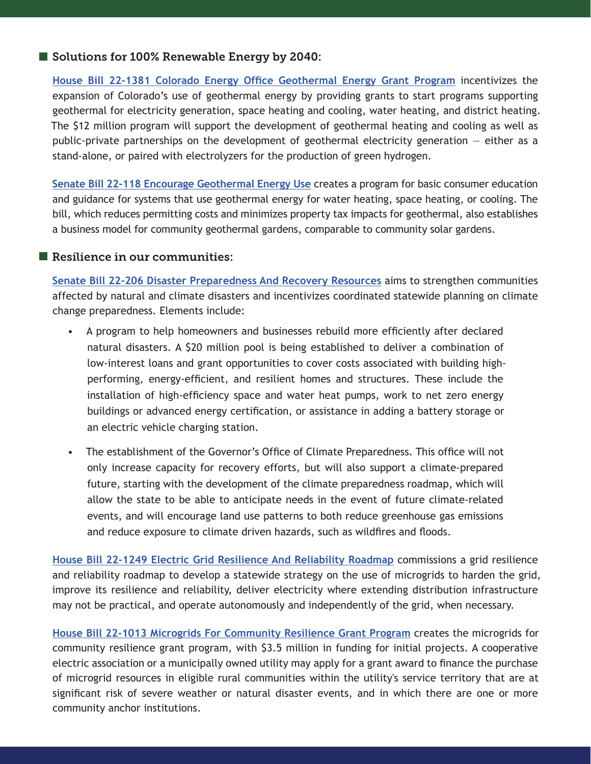## Solutions for 100% Renewable Energy by 2040:

**[House Bill 22-1381 Colorado Energy Office Geothermal Energy Grant Program](https://leg.colorado.gov/bills/hb22-1381)** incentivizes the expansion of Colorado's use of geothermal energy by providing grants to start programs supporting geothermal for electricity generation, space heating and cooling, water heating, and district heating. The \$12 million program will support the development of geothermal heating and cooling as well as public-private partnerships on the development of geothermal electricity generation  $-$  either as a stand-alone, or paired with electrolyzers for the production of green hydrogen.

**[Senate Bill 22-118 Encourage Geothermal Energy Use](https://leg.colorado.gov/bills/sb22-118)** creates a program for basic consumer education and guidance for systems that use geothermal energy for water heating, space heating, or cooling. The bill, which reduces permitting costs and minimizes property tax impacts for geothermal, also establishes a business model for community geothermal gardens, comparable to community solar gardens.

#### Resilience in our communities:

**[Senate Bill 22-206 Disaster Preparedness And Recovery Resources](https://leg.colorado.gov/bills/sb22-206)** aims to strengthen communities affected by natural and climate disasters and incentivizes coordinated statewide planning on climate change preparedness. Elements include:

- A program to help homeowners and businesses rebuild more efficiently after declared natural disasters. A \$20 million pool is being established to deliver a combination of low-interest loans and grant opportunities to cover costs associated with building highperforming, energy-efficient, and resilient homes and structures. These include the installation of high-efficiency space and water heat pumps, work to net zero energy buildings or advanced energy certification, or assistance in adding a battery storage or an electric vehicle charging station.
- The establishment of the Governor's Office of Climate Preparedness. This office will not only increase capacity for recovery efforts, but will also support a climate-prepared future, starting with the development of the climate preparedness roadmap, which will allow the state to be able to anticipate needs in the event of future climate-related events, and will encourage land use patterns to both reduce greenhouse gas emissions and reduce exposure to climate driven hazards, such as wildfires and floods.

**[House Bill 22-1249 Electric Grid Resilience And Reliability Roadmap](https://leg.colorado.gov/bills/hb22-1249)** commissions a grid resilience and reliability roadmap to develop a statewide strategy on the use of microgrids to harden the grid, improve its resilience and reliability, deliver electricity where extending distribution infrastructure may not be practical, and operate autonomously and independently of the grid, when necessary.

**[House Bill 22-1013 Microgrids For Community Resilience Grant Program](https://leg.colorado.gov/bills/hb22-1013)** creates the microgrids for community resilience grant program, with \$3.5 million in funding for initial projects. A cooperative electric association or a municipally owned utility may apply for a grant award to finance the purchase of microgrid resources in eligible rural communities within the utility's service territory that are at significant risk of severe weather or natural disaster events, and in which there are one or more community anchor institutions.